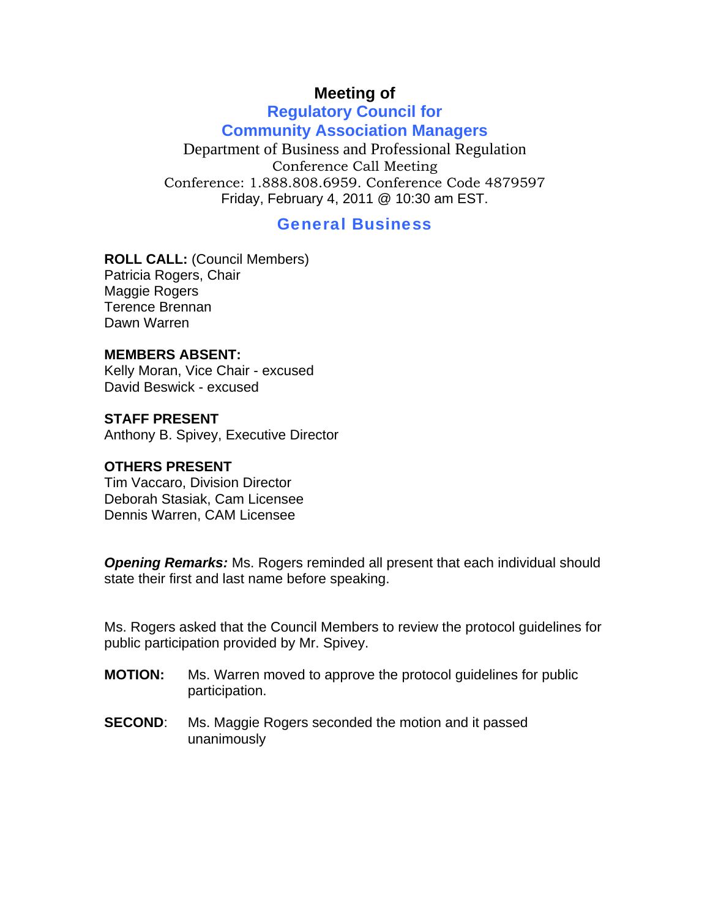# **Meeting of**

### **Regulatory Council for Community Association Managers**

Department of Business and Professional Regulation Conference Call Meeting Conference: 1.888.808.6959. Conference Code 4879597 Friday, February 4, 2011 @ 10:30 am EST.

## General Business

**ROLL CALL:** (Council Members) Patricia Rogers, Chair Maggie Rogers Terence Brennan Dawn Warren

#### **MEMBERS ABSENT:**

Kelly Moran, Vice Chair - excused David Beswick - excused

#### **STAFF PRESENT**

Anthony B. Spivey, Executive Director

#### **OTHERS PRESENT**

Tim Vaccaro, Division Director Deborah Stasiak, Cam Licensee Dennis Warren, CAM Licensee

*Opening Remarks:* Ms. Rogers reminded all present that each individual should state their first and last name before speaking.

Ms. Rogers asked that the Council Members to review the protocol guidelines for public participation provided by Mr. Spivey.

- **MOTION:** Ms. Warren moved to approve the protocol guidelines for public participation.
- **SECOND:** Ms. Maggie Rogers seconded the motion and it passed unanimously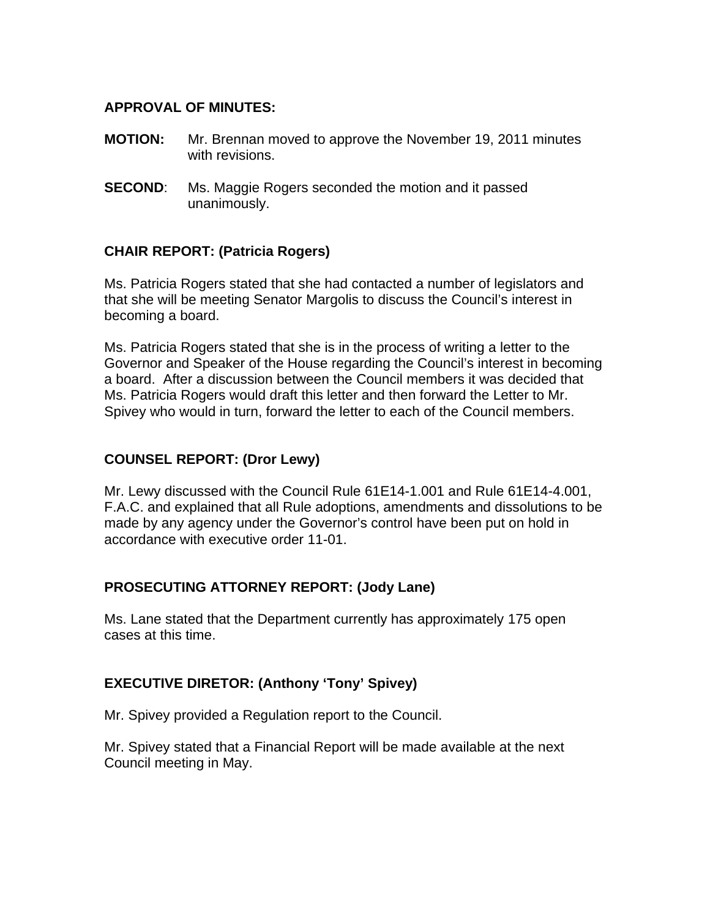#### **APPROVAL OF MINUTES:**

- **MOTION:** Mr. Brennan moved to approve the November 19, 2011 minutes with revisions.
- **SECOND:** Ms. Maggie Rogers seconded the motion and it passed unanimously.

#### **CHAIR REPORT: (Patricia Rogers)**

Ms. Patricia Rogers stated that she had contacted a number of legislators and that she will be meeting Senator Margolis to discuss the Council's interest in becoming a board.

Ms. Patricia Rogers stated that she is in the process of writing a letter to the Governor and Speaker of the House regarding the Council's interest in becoming a board. After a discussion between the Council members it was decided that Ms. Patricia Rogers would draft this letter and then forward the Letter to Mr. Spivey who would in turn, forward the letter to each of the Council members.

#### **COUNSEL REPORT: (Dror Lewy)**

Mr. Lewy discussed with the Council Rule 61E14-1.001 and Rule 61E14-4.001, F.A.C. and explained that all Rule adoptions, amendments and dissolutions to be made by any agency under the Governor's control have been put on hold in accordance with executive order 11-01.

#### **PROSECUTING ATTORNEY REPORT: (Jody Lane)**

Ms. Lane stated that the Department currently has approximately 175 open cases at this time.

#### **EXECUTIVE DIRETOR: (Anthony 'Tony' Spivey)**

Mr. Spivey provided a Regulation report to the Council.

Mr. Spivey stated that a Financial Report will be made available at the next Council meeting in May.